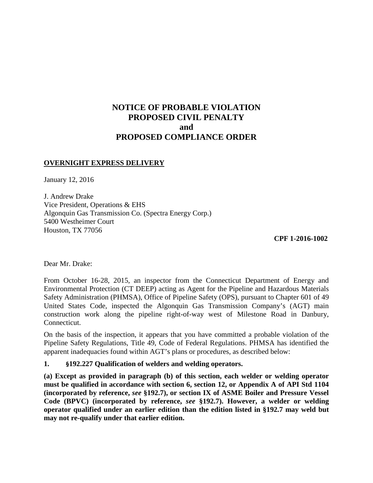# **NOTICE OF PROBABLE VIOLATION PROPOSED CIVIL PENALTY and PROPOSED COMPLIANCE ORDER**

## **OVERNIGHT EXPRESS DELIVERY**

January 12, 2016

J. Andrew Drake Vice President, Operations & EHS Algonquin Gas Transmission Co. (Spectra Energy Corp.) 5400 Westheimer Court Houston, TX 77056

**CPF 1-2016-1002** 

Dear Mr. Drake:

From October 16-28, 2015, an inspector from the Connecticut Department of Energy and Environmental Protection (CT DEEP) acting as Agent for the Pipeline and Hazardous Materials Safety Administration (PHMSA), Office of Pipeline Safety (OPS), pursuant to Chapter 601 of 49 United States Code, inspected the Algonquin Gas Transmission Company's (AGT) main construction work along the pipeline right-of-way west of Milestone Road in Danbury, Connecticut.

On the basis of the inspection, it appears that you have committed a probable violation of the Pipeline Safety Regulations, Title 49, Code of Federal Regulations. PHMSA has identified the apparent inadequacies found within AGT's plans or procedures, as described below:

### **1. §192.227 Qualification of welders and welding operators.**

**(a) Except as provided in paragraph (b) of this section, each welder or welding operator must be qualified in accordance with section 6, section 12, or Appendix A of API Std 1104 (incorporated by reference,** *see* **§192.7), or section IX of ASME Boiler and Pressure Vessel Code (BPVC) (incorporated by reference,** *see* **§192.7). However, a welder or welding operator qualified under an earlier edition than the edition listed in §192.7 may weld but may not re-qualify under that earlier edition.**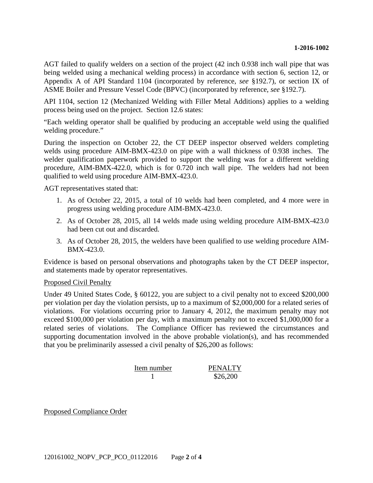AGT failed to qualify welders on a section of the project (42 inch 0.938 inch wall pipe that was being welded using a mechanical welding process) in accordance with section 6, section 12, or Appendix A of API Standard 1104 (incorporated by reference, *see* §192.7), or section IX of ASME Boiler and Pressure Vessel Code (BPVC) (incorporated by reference, *see* §192.7).

API 1104, section 12 (Mechanized Welding with Filler Metal Additions) applies to a welding process being used on the project. Section 12.6 states:

"Each welding operator shall be qualified by producing an acceptable weld using the qualified welding procedure."

During the inspection on October 22, the CT DEEP inspector observed welders completing welds using procedure AIM-BMX-423.0 on pipe with a wall thickness of 0.938 inches. The welder qualification paperwork provided to support the welding was for a different welding procedure, AIM-BMX-422.0, which is for 0.720 inch wall pipe. The welders had not been qualified to weld using procedure AIM-BMX-423.0.

AGT representatives stated that:

- 1. As of October 22, 2015, a total of 10 welds had been completed, and 4 more were in progress using welding procedure AIM-BMX-423.0.
- 2. As of October 28, 2015, all 14 welds made using welding procedure AIM-BMX-423.0 had been cut out and discarded.
- 3. As of October 28, 2015, the welders have been qualified to use welding procedure AIM-BMX-423.0.

Evidence is based on personal observations and photographs taken by the CT DEEP inspector, and statements made by operator representatives.

#### Proposed Civil Penalty

Under 49 United States Code, § 60122, you are subject to a civil penalty not to exceed \$200,000 per violation per day the violation persists, up to a maximum of \$2,000,000 for a related series of violations. For violations occurring prior to January 4, 2012, the maximum penalty may not exceed \$100,000 per violation per day, with a maximum penalty not to exceed \$1,000,000 for a related series of violations. The Compliance Officer has reviewed the circumstances and supporting documentation involved in the above probable violation(s), and has recommended that you be preliminarily assessed a civil penalty of \$26,200 as follows:

| Item number | <b>PENALTY</b> |
|-------------|----------------|
|             | \$26,200       |

Proposed Compliance Order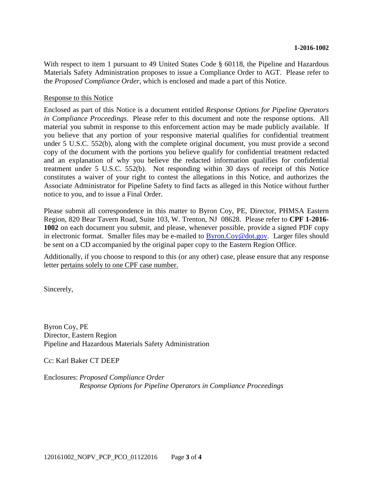With respect to item 1 pursuant to 49 United States Code § 60118, the Pipeline and Hazardous Materials Safety Administration proposes to issue a Compliance Order to AGT. Please refer to the *Proposed Compliance Order*, which is enclosed and made a part of this Notice.

#### Response to this Notice

Enclosed as part of this Notice is a document entitled *Response Options for Pipeline Operators in Compliance Proceedings*. Please refer to this document and note the response options. All material you submit in response to this enforcement action may be made publicly available. If you believe that any portion of your responsive material qualifies for confidential treatment under 5 U.S.C. 552(b), along with the complete original document, you must provide a second copy of the document with the portions you believe qualify for confidential treatment redacted and an explanation of why you believe the redacted information qualifies for confidential treatment under 5 U.S.C. 552(b). Not responding within 30 days of receipt of this Notice constitutes a waiver of your right to contest the allegations in this Notice, and authorizes the Associate Administrator for Pipeline Safety to find facts as alleged in this Notice without further notice to you, and to issue a Final Order.

Please submit all correspondence in this matter to Byron Coy, PE, Director, PHMSA Eastern Region, 820 Bear Tavern Road, Suite 103, W. Trenton, NJ 08628. Please refer to **CPF 1-2016- 1002** on each document you submit, and please, whenever possible, provide a signed PDF copy in electronic format. Smaller files may be e-mailed to Byron.Coy@dot.gov. Larger files should be sent on a CD accompanied by the original paper copy to the Eastern Region Office.

Additionally, if you choose to respond to this (or any other) case, please ensure that any response letter pertains solely to one CPF case number.

Sincerely,

Byron Coy, PE Director, Eastern Region Pipeline and Hazardous Materials Safety Administration

Cc: Karl Baker CT DEEP

Enclosures: *Proposed Compliance Order Response Options for Pipeline Operators in Compliance Proceedings*